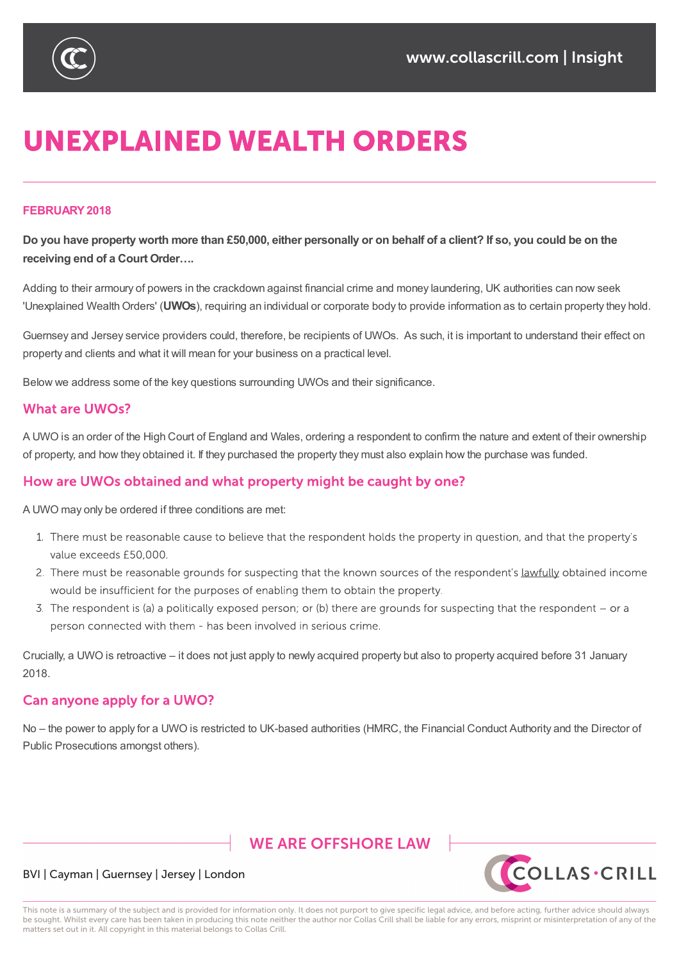

# **UNEXPLAINED WEALTH ORDERS**

#### **FEBRUARY2018**

Do you have property worth more than £50,000, either personally or on behalf of a client? If so, you could be on the **receiving end of a Court Order….**

Adding to their armoury of powers in the crackdown against financial crime and money laundering, UK authorities can now seek 'Unexplained WealthOrders' (**UWOs**), requiring an individual or corporate body to provide information as to certain property they hold.

Guernsey and Jersey service providers could, therefore, be recipients of UWOs. As such, it is important to understand their effect on property and clients and what it will mean for your business on a practical level.

Below we address some of the key questions surrounding UWOs and their significance.

#### **What are UWOs?**

A UWO is an order of the High Court of England and Wales, ordering a respondent to confirm the nature and extent of their ownership of property, and how they obtained it. If they purchased the property they must also explain how the purchase was funded.

#### How are UWOs obtained and what property might be caught by one?

A UWO may only be ordered if three conditions are met:

- 1. There must be reasonable cause to believe that the respondent holds the property in question, and that the property's value exceeds £50,000.
- 2. There must be reasonable grounds for suspecting that the known sources of the respondent's lawfully obtained income would be insufficient for the purposes of enabling them to obtain the property.
- 3. The respondent is (a) a politically exposed person; or (b) there are grounds for suspecting that the respondent or a person connected with them - has been involved in serious crime.

Crucially, a UWO is retroactive – it does not just apply to newly acquired property but also to property acquired before 31 January 2018.

#### Can anyone apply for a UWO?

No – the power to apply for a UWO is restricted to UK-based authorities (HMRC, the Financial Conduct Authority and the Director of Public Prosecutions amongst others).

# **WE ARE OFFSHORE I AW**



#### BVI | Cayman | Guernsey | Jersey | London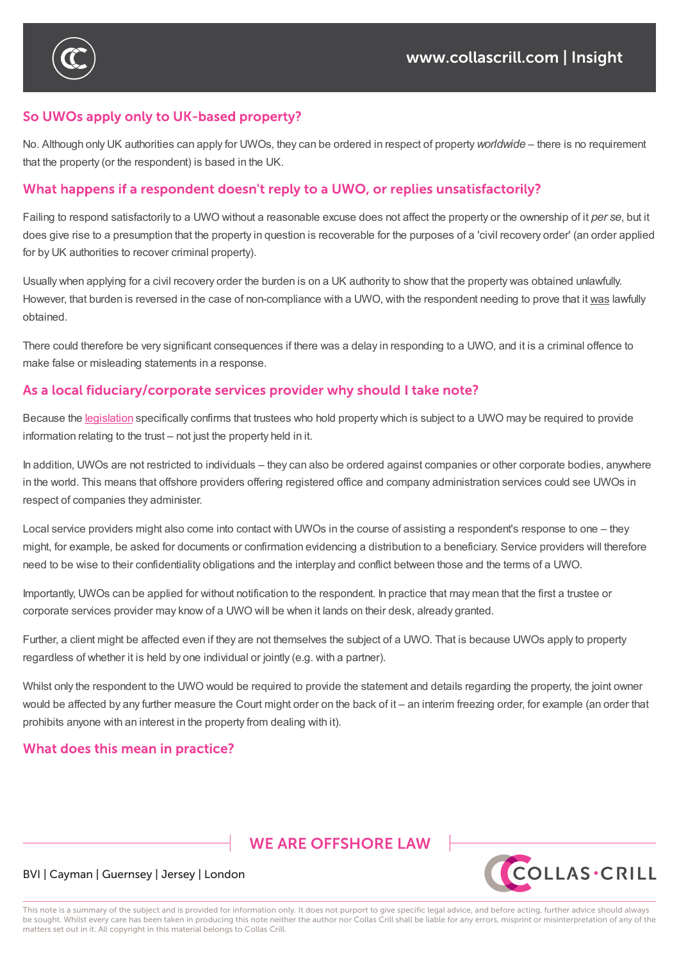

# So UWOs apply only to UK-based property?

No. Although only UK authorities can apply for UWOs, they can be ordered in respect of property*worldwide* – there is no requirement that the property (or the respondent) is based in the UK.

## What happens if a respondent doesn't reply to a UWO, or replies unsatisfactorily?

Failing to respond satisfactorily to a UWO without a reasonable excuse does not affect the property or the ownership of it *per se*, but it does give rise to a presumption that the property in question is recoverable for the purposes of a 'civil recovery order' (an order applied for by UK authorities to recover criminal property).

Usually when applying for a civil recovery order the burden is on a UK authority to show that the property was obtained unlawfully. However, that burden is reversed in the case of non-compliance with a UWO, with the respondent needing to prove that it was lawfully obtained.

There could therefore be very significant consequences if there was a delay in responding to a UWO, and it is a criminal offence to make false or misleading statements in a response.

## As a local fiduciary/corporate services provider why should I take note?

Because the legislation specifically confirms that trustees who hold property which is subject to a UWO may be required to provide information relating to the trust – not just the property held in it.

In addition, UWOs are not restricted to individuals – they can also be ordered against companies or other corporate bodies, anywhere in the world. This [means](https://www.legislation.gov.uk/ukpga/2002/29/section/6) that offshore providers offering registered office and company administration services could see UWOs in respect of companies they administer.

Local service providers might also come into contact with UWOs in the course of assisting a respondent's response to one – they might, for example, be asked for documents or confirmation evidencing a distribution to a beneficiary. Service providers will therefore need to be wise to their confidentiality obligations and the interplay and conflict between those and the terms of a UWO.

Importantly, UWOs can be applied for without notification to the respondent. In practice that may mean that the first a trustee or corporate services provider may know of a UWO will be when it lands on their desk, already granted.

Further, a client might be affected even if they are not themselves the subject of a UWO. That is because UWOs apply to property regardless of whether it is held by one individual or jointly (e.g. with a partner).

Whilst only the respondent to the UWO would be required to provide the statement and details regarding the property, the joint owner would be affected by any further measure the Court might order on the back of it – an interim freezing order, for example (an order that prohibits anyone with an interest in the property from dealing with it).

### What does this mean in practice?

# **WE ARE OFFSHORE LAW**



### BVI | Cayman | Guernsey | Jersey | London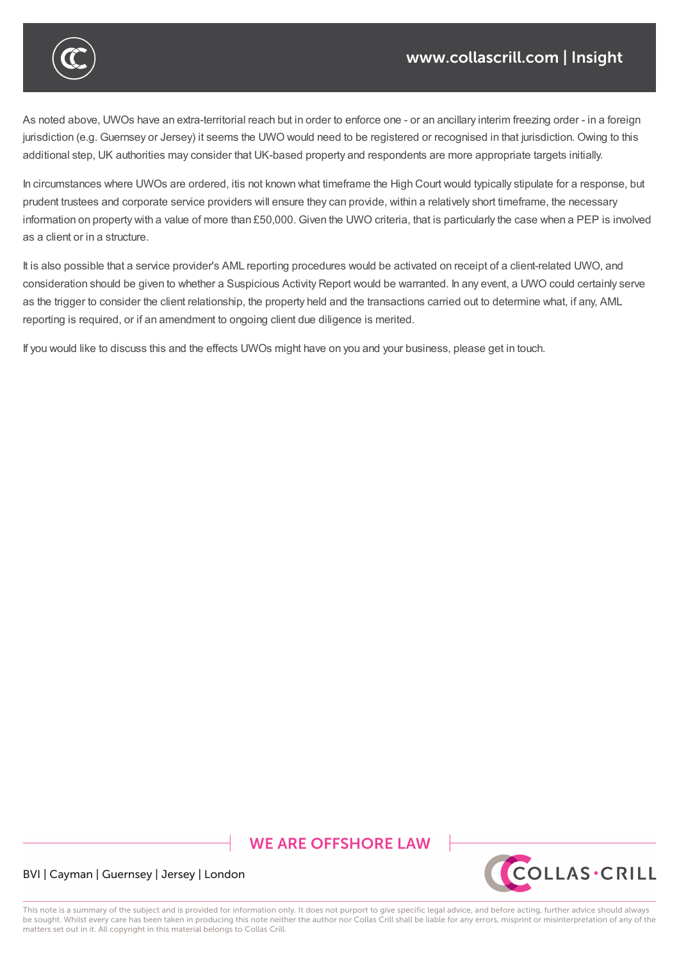

As noted above, UWOs have an extra-territorial reach but in order to enforce one - or an ancillary interim freezing order - in a foreign jurisdiction (e.g. Guernsey or Jersey) it seems the UWO would need to be registered or recognised in that jurisdiction. Owing to this additional step, UK authorities may consider that UK-based property and respondents are more appropriate targets initially.

Whilst only the respondent to the UWO would be required to provide the statement and details regarding the property, the joint owner

In circumstances where UWOs are ordered, itis not known what timeframe the High Court would typically stipulate for a response, but prudent trustees and corporate service providers will ensure they can provide, within a relatively short timeframe, the necessary information on property with a value of more than £50,000. Given the UWO criteria, that is particularly the case when a PEP is involved as a client or in a structure.

It is also possible that a service provider's AML reporting procedures would be activated on receipt of a client-related UWO, and consideration should be given to whether a Suspicious Activity Report would be warranted. In any event, a UWO could certainly serve as the trigger to consider the client relationship, the property held and the transactions carried out to determine what, if any, AML reporting is required, or if an amendment to ongoing client due diligence is merited.

If you would like to discuss this and the effects UWOs might have on you and your business, please get in touch.

# **WE ARE OFFSHORE LAW**



BVI | Cayman | Guernsey | Jersey | London